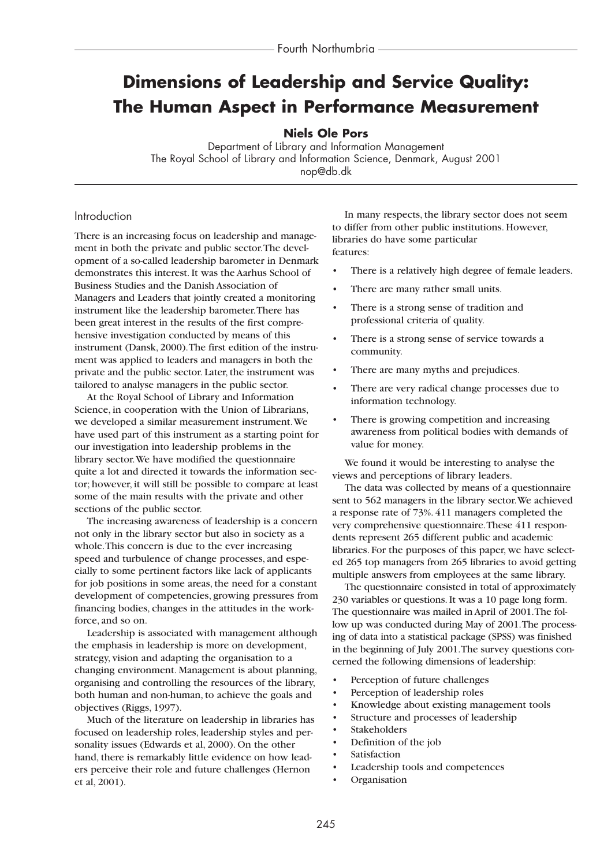# **Dimensions of Leadership and Service Quality: The Human Aspect in Performance Measurement**

**Niels Ole Pors**

Department of Library and Information Management The Royal School of Library and Information Science, Denmark, August 2001 nop@db.dk

## Introduction

There is an increasing focus on leadership and management in both the private and public sector.The development of a so-called leadership barometer in Denmark demonstrates this interest. It was the Aarhus School of Business Studies and the Danish Association of Managers and Leaders that jointly created a monitoring instrument like the leadership barometer.There has been great interest in the results of the first comprehensive investigation conducted by means of this instrument (Dansk, 2000).The first edition of the instrument was applied to leaders and managers in both the private and the public sector. Later, the instrument was tailored to analyse managers in the public sector.

At the Royal School of Library and Information Science, in cooperation with the Union of Librarians, we developed a similar measurement instrument.We have used part of this instrument as a starting point for our investigation into leadership problems in the library sector.We have modified the questionnaire quite a lot and directed it towards the information sector; however, it will still be possible to compare at least some of the main results with the private and other sections of the public sector.

The increasing awareness of leadership is a concern not only in the library sector but also in society as a whole.This concern is due to the ever increasing speed and turbulence of change processes, and especially to some pertinent factors like lack of applicants for job positions in some areas, the need for a constant development of competencies, growing pressures from financing bodies, changes in the attitudes in the workforce, and so on.

Leadership is associated with management although the emphasis in leadership is more on development, strategy, vision and adapting the organisation to a changing environment. Management is about planning, organising and controlling the resources of the library, both human and non-human, to achieve the goals and objectives (Riggs, 1997).

Much of the literature on leadership in libraries has focused on leadership roles, leadership styles and personality issues (Edwards et al, 2000). On the other hand, there is remarkably little evidence on how leaders perceive their role and future challenges (Hernon et al, 2001).

In many respects, the library sector does not seem to differ from other public institutions. However, libraries do have some particular features:

- There is a relatively high degree of female leaders.
- There are many rather small units.
- There is a strong sense of tradition and professional criteria of quality.
- There is a strong sense of service towards a community.
- There are many myths and prejudices.
- There are very radical change processes due to information technology.
- There is growing competition and increasing awareness from political bodies with demands of value for money.

We found it would be interesting to analyse the views and perceptions of library leaders.

The data was collected by means of a questionnaire sent to 562 managers in the library sector.We achieved a response rate of 73%. 411 managers completed the very comprehensive questionnaire.These 411 respondents represent 265 different public and academic libraries. For the purposes of this paper, we have selected 265 top managers from 265 libraries to avoid getting multiple answers from employees at the same library.

The questionnaire consisted in total of approximately 230 variables or questions. It was a 10 page long form. The questionnaire was mailed in April of 2001.The follow up was conducted during May of 2001.The processing of data into a statistical package (SPSS) was finished in the beginning of July 2001.The survey questions concerned the following dimensions of leadership:

- Perception of future challenges
- Perception of leadership roles
- Knowledge about existing management tools
- Structure and processes of leadership
- **Stakeholders**
- Definition of the job
- **Satisfaction**
- Leadership tools and competences
- Organisation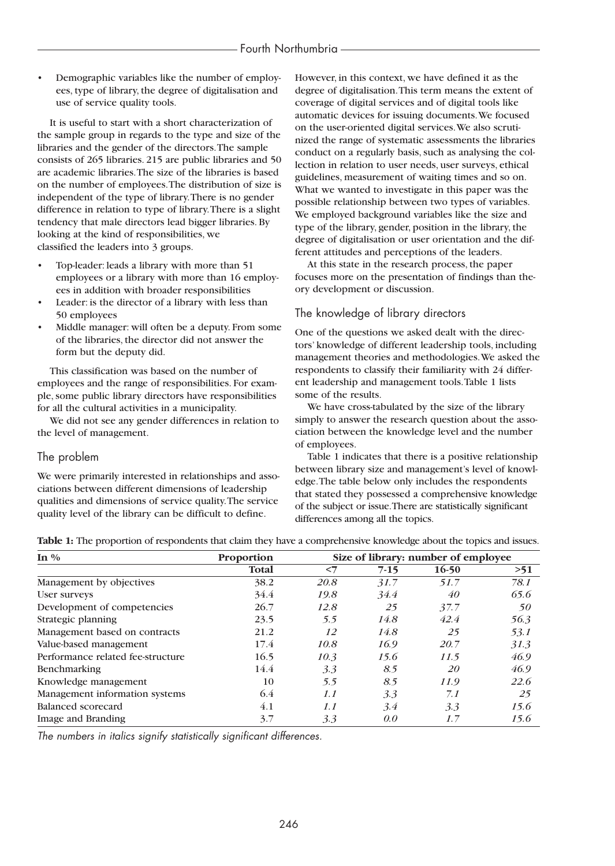Demographic variables like the number of employees, type of library, the degree of digitalisation and use of service quality tools.

It is useful to start with a short characterization of the sample group in regards to the type and size of the libraries and the gender of the directors.The sample consists of 265 libraries. 215 are public libraries and 50 are academic libraries.The size of the libraries is based on the number of employees.The distribution of size is independent of the type of library.There is no gender difference in relation to type of library.There is a slight tendency that male directors lead bigger libraries. By looking at the kind of responsibilities, we classified the leaders into 3 groups.

- Top-leader: leads a library with more than 51 employees or a library with more than 16 employees in addition with broader responsibilities
- Leader: is the director of a library with less than 50 employees
- Middle manager: will often be a deputy. From some of the libraries, the director did not answer the form but the deputy did.

This classification was based on the number of employees and the range of responsibilities. For example, some public library directors have responsibilities for all the cultural activities in a municipality.

We did not see any gender differences in relation to the level of management.

## The problem

We were primarily interested in relationships and associations between different dimensions of leadership qualities and dimensions of service quality.The service quality level of the library can be difficult to define.

However, in this context, we have defined it as the degree of digitalisation.This term means the extent of coverage of digital services and of digital tools like automatic devices for issuing documents.We focused on the user-oriented digital services.We also scrutinized the range of systematic assessments the libraries conduct on a regularly basis, such as analysing the collection in relation to user needs, user surveys, ethical guidelines, measurement of waiting times and so on. What we wanted to investigate in this paper was the possible relationship between two types of variables. We employed background variables like the size and type of the library, gender, position in the library, the degree of digitalisation or user orientation and the different attitudes and perceptions of the leaders.

At this state in the research process, the paper focuses more on the presentation of findings than theory development or discussion.

## The knowledge of library directors

One of the questions we asked dealt with the directors' knowledge of different leadership tools, including management theories and methodologies.We asked the respondents to classify their familiarity with 24 different leadership and management tools.Table 1 lists some of the results.

We have cross-tabulated by the size of the library simply to answer the research question about the association between the knowledge level and the number of employees.

Table 1 indicates that there is a positive relationship between library size and management's level of knowledge.The table below only includes the respondents that stated they possessed a comprehensive knowledge of the subject or issue.There are statistically significant differences among all the topics.

| Table 1: The proportion of respondents that claim they have a comprehensive knowledge about the topics and issues. |  |  |  |
|--------------------------------------------------------------------------------------------------------------------|--|--|--|
|--------------------------------------------------------------------------------------------------------------------|--|--|--|

| In $\%$                           | Proportion   | Size of library: number of employee |        |           |      |  |  |
|-----------------------------------|--------------|-------------------------------------|--------|-----------|------|--|--|
|                                   | <b>Total</b> | $<$ 7                               | $7-15$ | $16-50$   | >51  |  |  |
| Management by objectives          | 38.2         | 20.8                                | 31.7   | 51.7      | 78.1 |  |  |
| User surveys                      | 34.4         | 19.8                                | 34.4   | 40        | 65.6 |  |  |
| Development of competencies       | 26.7         | 12.8                                | 25     | 37.7      | 50   |  |  |
| Strategic planning                | 23.5         | 5.5                                 | 14.8   | 42.4      | 56.3 |  |  |
| Management based on contracts     | 21.2         | 12                                  | 14.8   | 25        | 53.1 |  |  |
| Value-based management            | 17.4         | 10.8                                | 16.9   | 20.7      | 31.3 |  |  |
| Performance related fee-structure | 16.5         | 10.3                                | 15.6   | 11.5      | 46.9 |  |  |
| <b>Benchmarking</b>               | 14.4         | 3.3                                 | 8.5    | <i>20</i> | 46.9 |  |  |
| Knowledge management              | 10           | 5.5                                 | 8.5    | 11.9      | 22.6 |  |  |
| Management information systems    | 6.4          | 1.1                                 | 3.3    | 7.1       | 25   |  |  |
| Balanced scorecard                | 4.1          | 1.1                                 | 3.4    | 3.3       | 15.6 |  |  |
| Image and Branding                | 3.7          | 3.3                                 | 0.0    | 1.7       | 15.6 |  |  |

*The numbers in italics signify statistically significant differences.*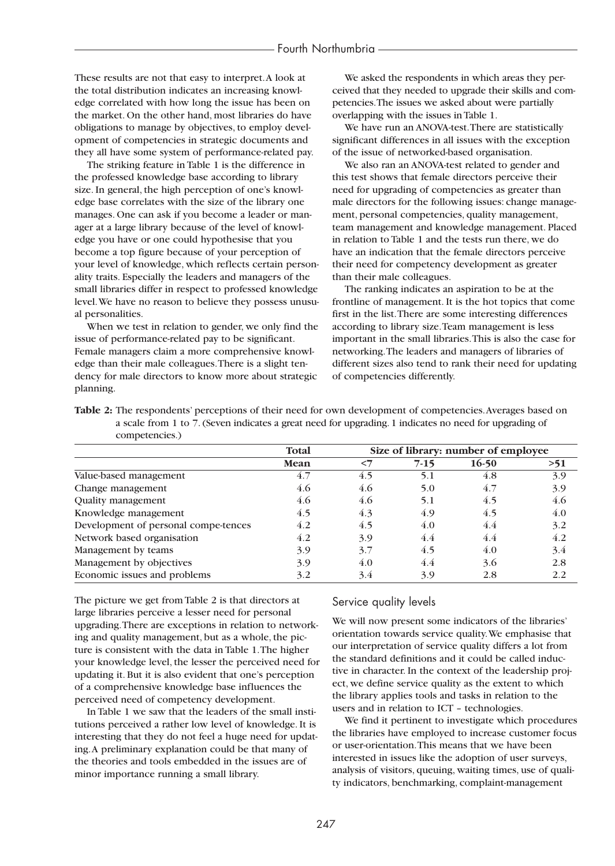These results are not that easy to interpret.A look at the total distribution indicates an increasing knowledge correlated with how long the issue has been on the market. On the other hand, most libraries do have obligations to manage by objectives, to employ development of competencies in strategic documents and they all have some system of performance-related pay.

The striking feature in Table 1 is the difference in the professed knowledge base according to library size. In general, the high perception of one's knowledge base correlates with the size of the library one manages. One can ask if you become a leader or manager at a large library because of the level of knowledge you have or one could hypothesise that you become a top figure because of your perception of your level of knowledge, which reflects certain personality traits. Especially the leaders and managers of the small libraries differ in respect to professed knowledge level.We have no reason to believe they possess unusual personalities.

When we test in relation to gender, we only find the issue of performance-related pay to be significant. Female managers claim a more comprehensive knowledge than their male colleagues.There is a slight tendency for male directors to know more about strategic planning.

We asked the respondents in which areas they perceived that they needed to upgrade their skills and competencies.The issues we asked about were partially overlapping with the issues in Table 1.

We have run an ANOVA-test.There are statistically significant differences in all issues with the exception of the issue of networked-based organisation.

We also ran an ANOVA-test related to gender and this test shows that female directors perceive their need for upgrading of competencies as greater than male directors for the following issues: change management, personal competencies, quality management, team management and knowledge management. Placed in relation to Table 1 and the tests run there, we do have an indication that the female directors perceive their need for competency development as greater than their male colleagues.

The ranking indicates an aspiration to be at the frontline of management. It is the hot topics that come first in the list.There are some interesting differences according to library size.Team management is less important in the small libraries.This is also the case for networking.The leaders and managers of libraries of different sizes also tend to rank their need for updating of competencies differently.

|                | <b>Table 2:</b> The respondents' perceptions of their need for own development of competencies. Averages based on |
|----------------|-------------------------------------------------------------------------------------------------------------------|
|                | a scale from 1 to 7. (Seven indicates a great need for upgrading. 1 indicates no need for upgrading of            |
| competencies.) |                                                                                                                   |

|                                      | Total |       | Size of library: number of employee |         |     |
|--------------------------------------|-------|-------|-------------------------------------|---------|-----|
|                                      | Mean  | $<$ 7 | $7-15$                              | $16-50$ | >51 |
| Value-based management               | 4.7   | 4.5   | 5.1                                 | 4.8     | 3.9 |
| Change management                    | 4.6   | 4.6   | 5.0                                 | 4.7     | 3.9 |
| Quality management                   | 4.6   | 4.6   | 5.1                                 | 4.5     | 4.6 |
| Knowledge management                 | 4.5   | 4.3   | 4.9                                 | 4.5     | 4.0 |
| Development of personal compe-tences | 4.2   | 4.5   | 4.0                                 | 4.4     | 3.2 |
| Network based organisation           | 4.2   | 3.9   | 4.4                                 | 4.4     | 4.2 |
| Management by teams                  | 3.9   | 3.7   | 4.5                                 | 4.0     | 3.4 |
| Management by objectives             | 3.9   | 4.0   | 4.4                                 | 3.6     | 2.8 |
| Economic issues and problems         | 3.2   | 3.4   | 3.9                                 | 2.8     | 2.2 |

The picture we get from Table 2 is that directors at large libraries perceive a lesser need for personal upgrading.There are exceptions in relation to networking and quality management, but as a whole, the picture is consistent with the data in Table 1.The higher your knowledge level, the lesser the perceived need for updating it. But it is also evident that one's perception of a comprehensive knowledge base influences the perceived need of competency development.

In Table 1 we saw that the leaders of the small institutions perceived a rather low level of knowledge. It is interesting that they do not feel a huge need for updating.A preliminary explanation could be that many of the theories and tools embedded in the issues are of minor importance running a small library.

## Service quality levels

We will now present some indicators of the libraries' orientation towards service quality.We emphasise that our interpretation of service quality differs a lot from the standard definitions and it could be called inductive in character. In the context of the leadership project, we define service quality as the extent to which the library applies tools and tasks in relation to the users and in relation to ICT – technologies.

We find it pertinent to investigate which procedures the libraries have employed to increase customer focus or user-orientation.This means that we have been interested in issues like the adoption of user surveys, analysis of visitors, queuing, waiting times, use of quality indicators, benchmarking, complaint-management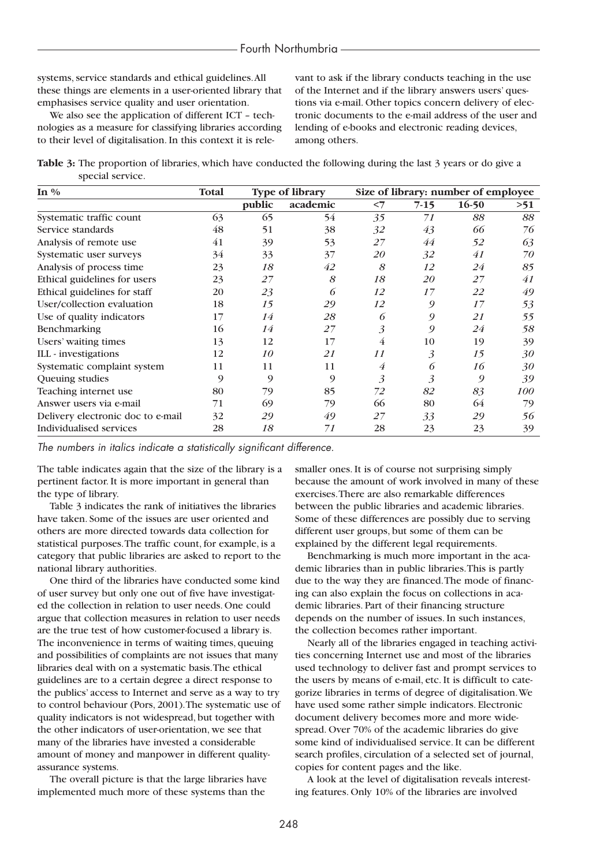#### Fourth Northumbria

systems, service standards and ethical guidelines.All these things are elements in a user-oriented library that emphasises service quality and user orientation.

We also see the application of different ICT – technologies as a measure for classifying libraries according to their level of digitalisation. In this context it is rele-

vant to ask if the library conducts teaching in the use of the Internet and if the library answers users' questions via e-mail. Other topics concern delivery of electronic documents to the e-mail address of the user and lending of e-books and electronic reading devices, among others.

**Table 3:** The proportion of libraries, which have conducted the following during the last 3 years or do give a special service.

| In $\%$                           | Total | <b>Type of library</b> |          |                | Size of library: number of employee |         |            |  |
|-----------------------------------|-------|------------------------|----------|----------------|-------------------------------------|---------|------------|--|
|                                   |       | public                 | academic | $<$ 7          | $7-15$                              | $16-50$ | >51        |  |
| Systematic traffic count          | 63    | 65                     | 54       | 35             | 71                                  | 88      | 88         |  |
| Service standards                 | 48    | 51                     | 38       | 32             | 43                                  | 66      | 76         |  |
| Analysis of remote use            | 41    | 39                     | 53       | 27             | 44                                  | 52      | 63         |  |
| Systematic user surveys           | 34    | 33                     | 37       | <i>20</i>      | 32                                  | 41      | 70         |  |
| Analysis of process time          | 23    | 18                     | 42       | 8              | 12                                  | 24      | 85         |  |
| Ethical guidelines for users      | 23    | 27                     | 8        | 18             | 20                                  | 27      | 41         |  |
| Ethical guidelines for staff      | 20    | 23                     | 6        | 12             | 17                                  | 22      | 49         |  |
| User/collection evaluation        | 18    | 15                     | 29       | 12             | 9                                   | 17      | 53         |  |
| Use of quality indicators         | 17    | 14                     | 28       | 6              | 9                                   | 21      | 55         |  |
| <b>Benchmarking</b>               | 16    | 14                     | 27       | $\mathfrak{Z}$ | 9                                   | 24      | 58         |  |
| Users' waiting times              | 13    | 12                     | 17       | 4              | 10                                  | 19      | 39         |  |
| ILL - investigations              | 12    | 10                     | 21       | 11             | 3                                   | 15      | 30         |  |
| Systematic complaint system       | 11    | 11                     | 11       | 4              | 6                                   | 16      | 30         |  |
| Queuing studies                   | 9     | 9                      | 9        | 3              | 3                                   | 9       | 39         |  |
| Teaching internet use             | 80    | 79                     | 85       | 72             | 82                                  | 83      | <i>100</i> |  |
| Answer users via e-mail           | 71    | 69                     | 79       | 66             | 80                                  | 64      | 79         |  |
| Delivery electronic doc to e-mail | 32    | 29                     | 49       | 27             | 33                                  | 29      | 56         |  |
| Individualised services           | 28    | 18                     | 71       | 28             | 23                                  | 23      | 39         |  |

*The numbers in italics indicate a statistically significant difference.*

The table indicates again that the size of the library is a pertinent factor. It is more important in general than the type of library.

Table 3 indicates the rank of initiatives the libraries have taken. Some of the issues are user oriented and others are more directed towards data collection for statistical purposes.The traffic count, for example, is a category that public libraries are asked to report to the national library authorities.

One third of the libraries have conducted some kind of user survey but only one out of five have investigated the collection in relation to user needs. One could argue that collection measures in relation to user needs are the true test of how customer-focused a library is. The inconvenience in terms of waiting times, queuing and possibilities of complaints are not issues that many libraries deal with on a systematic basis.The ethical guidelines are to a certain degree a direct response to the publics' access to Internet and serve as a way to try to control behaviour (Pors, 2001).The systematic use of quality indicators is not widespread, but together with the other indicators of user-orientation, we see that many of the libraries have invested a considerable amount of money and manpower in different qualityassurance systems.

The overall picture is that the large libraries have implemented much more of these systems than the

smaller ones. It is of course not surprising simply because the amount of work involved in many of these exercises.There are also remarkable differences between the public libraries and academic libraries. Some of these differences are possibly due to serving different user groups, but some of them can be explained by the different legal requirements.

Benchmarking is much more important in the academic libraries than in public libraries.This is partly due to the way they are financed.The mode of financing can also explain the focus on collections in academic libraries. Part of their financing structure depends on the number of issues. In such instances, the collection becomes rather important.

Nearly all of the libraries engaged in teaching activities concerning Internet use and most of the libraries used technology to deliver fast and prompt services to the users by means of e-mail, etc. It is difficult to categorize libraries in terms of degree of digitalisation.We have used some rather simple indicators. Electronic document delivery becomes more and more widespread. Over 70% of the academic libraries do give some kind of individualised service. It can be different search profiles, circulation of a selected set of journal, copies for content pages and the like.

A look at the level of digitalisation reveals interesting features. Only 10% of the libraries are involved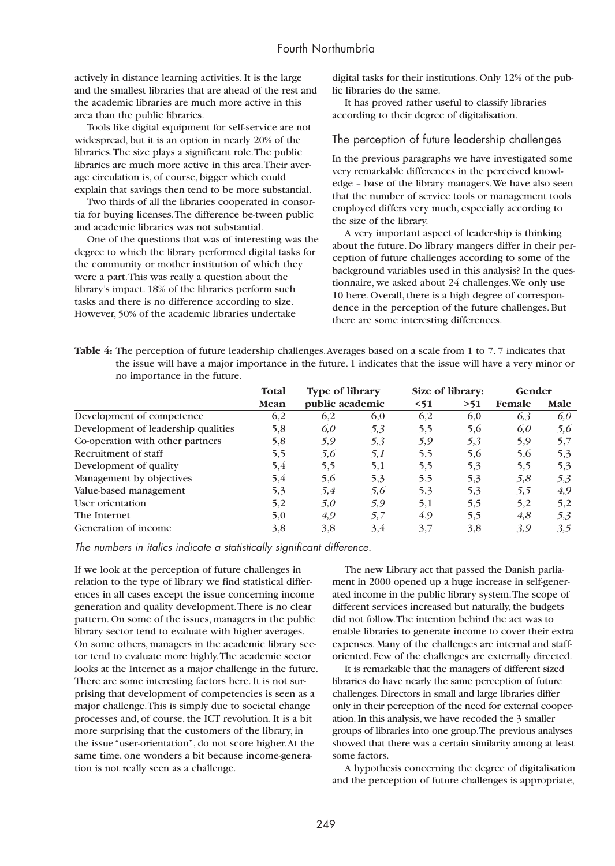actively in distance learning activities. It is the large and the smallest libraries that are ahead of the rest and the academic libraries are much more active in this area than the public libraries.

Tools like digital equipment for self-service are not widespread, but it is an option in nearly 20% of the libraries.The size plays a significant role.The public libraries are much more active in this area.Their average circulation is, of course, bigger which could explain that savings then tend to be more substantial.

Two thirds of all the libraries cooperated in consortia for buying licenses.The difference be-tween public and academic libraries was not substantial.

One of the questions that was of interesting was the degree to which the library performed digital tasks for the community or mother institution of which they were a part.This was really a question about the library's impact. 18% of the libraries perform such tasks and there is no difference according to size. However, 50% of the academic libraries undertake

digital tasks for their institutions. Only 12% of the public libraries do the same.

It has proved rather useful to classify libraries according to their degree of digitalisation.

### The perception of future leadership challenges

In the previous paragraphs we have investigated some very remarkable differences in the perceived knowledge – base of the library managers.We have also seen that the number of service tools or management tools employed differs very much, especially according to the size of the library.

A very important aspect of leadership is thinking about the future. Do library mangers differ in their perception of future challenges according to some of the background variables used in this analysis? In the questionnaire, we asked about 24 challenges.We only use 10 here. Overall, there is a high degree of correspondence in the perception of the future challenges. But there are some interesting differences.

**Table 4:** The perception of future leadership challenges.Averages based on a scale from 1 to 7. 7 indicates that the issue will have a major importance in the future. 1 indicates that the issue will have a very minor or no importance in the future.

|                                     | <b>Total</b> | <b>Type of library</b> |     |      | Size of library: |        | Gender |  |
|-------------------------------------|--------------|------------------------|-----|------|------------------|--------|--------|--|
|                                     | Mean         | public academic        |     | < 51 | >51              | Female | Male   |  |
| Development of competence           | 6,2          | 6,2                    | 6,0 | 6,2  | 6,0              | 6,3    | 6.0    |  |
| Development of leadership qualities | 5,8          | 6.0                    | 5,3 | 5,5  | 5,6              | 6,0    | 5,6    |  |
| Co-operation with other partners    | 5,8          | 5,9                    | 5,3 | 5,9  | 5,3              | 5,9    | 5,7    |  |
| Recruitment of staff                | 5,5          | 5,6                    | 5,1 | 5,5  | 5,6              | 5,6    | 5,3    |  |
| Development of quality              | 5,4          | 5,5                    | 5,1 | 5,5  | 5,3              | 5,5    | 5,3    |  |
| Management by objectives            | 5,4          | 5,6                    | 5,3 | 5,5  | 5,3              | 5,8    | 5,3    |  |
| Value-based management              | 5,3          | 5,4                    | 5,6 | 5,3  | 5,3              | 5,5    | 4,9    |  |
| User orientation                    | 5,2          | 5,0                    | 5,9 | 5,1  | 5,5              | 5,2    | 5,2    |  |
| The Internet                        | 5,0          | 4,9                    | 5.7 | 4,9  | 5,5              | 4.8    | 5.3    |  |
| Generation of income                | 3,8          | 3.8                    | 3,4 | 3,7  | 3.8              | 3.9    | 3,5    |  |

*The numbers in italics indicate a statistically significant difference.*

If we look at the perception of future challenges in relation to the type of library we find statistical differences in all cases except the issue concerning income generation and quality development.There is no clear pattern. On some of the issues, managers in the public library sector tend to evaluate with higher averages. On some others, managers in the academic library sector tend to evaluate more highly.The academic sector looks at the Internet as a major challenge in the future. There are some interesting factors here. It is not surprising that development of competencies is seen as a major challenge.This is simply due to societal change processes and, of course, the ICT revolution. It is a bit more surprising that the customers of the library, in the issue "user-orientation", do not score higher.At the same time, one wonders a bit because income-generation is not really seen as a challenge.

The new Library act that passed the Danish parliament in 2000 opened up a huge increase in self-generated income in the public library system.The scope of different services increased but naturally, the budgets did not follow.The intention behind the act was to enable libraries to generate income to cover their extra expenses. Many of the challenges are internal and stafforiented. Few of the challenges are externally directed.

It is remarkable that the managers of different sized libraries do have nearly the same perception of future challenges. Directors in small and large libraries differ only in their perception of the need for external cooperation. In this analysis, we have recoded the 3 smaller groups of libraries into one group.The previous analyses showed that there was a certain similarity among at least some factors.

A hypothesis concerning the degree of digitalisation and the perception of future challenges is appropriate,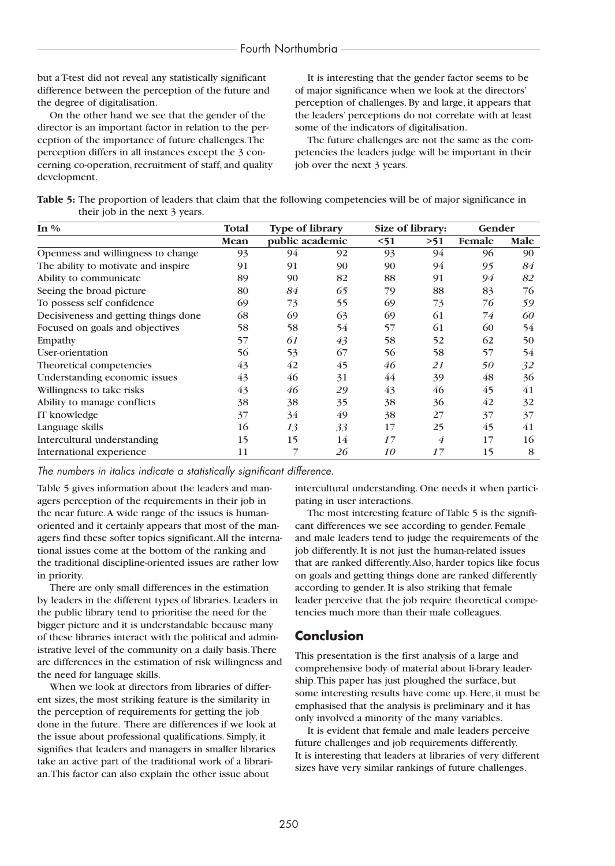but a T-test did not reveal any statistically significant difference between the perception of the future and the degree of digitalisation.

On the other hand we see that the gender of the director is an important factor in relation to the perception of the importance of future challenges.The perception differs in all instances except the 3 concerning co-operation, recruitment of staff, and quality development.

It is interesting that the gender factor seems to be of major significance when we look at the directors' perception of challenges. By and large, it appears that the leaders' perceptions do not correlate with at least some of the indicators of digitalisation.

The future challenges are not the same as the competencies the leaders judge will be important in their job over the next 3 years.

| Table 5: The proportion of leaders that claim that the following competencies will be of major significance in |  |  |
|----------------------------------------------------------------------------------------------------------------|--|--|
| their job in the next 3 years.                                                                                 |  |  |

| In $\%$                              | Total | <b>Type of library</b> |    |      | Size of library: |        | Gender |  |
|--------------------------------------|-------|------------------------|----|------|------------------|--------|--------|--|
|                                      | Mean  | public academic        |    | < 51 | >51              | Female | Male   |  |
| Openness and willingness to change   | 93    | 94                     | 92 | 93   | 94               | 96     | 90     |  |
| The ability to motivate and inspire  | 91    | 91                     | 90 | 90   | 94               | 95     | 84     |  |
| Ability to communicate               | 89    | 90                     | 82 | 88   | 91               | 94     | 82     |  |
| Seeing the broad picture             | 80    | 84                     | 65 | 79   | 88               | 83     | 76     |  |
| To possess self confidence           | 69    | 73                     | 55 | 69   | 73               | 76     | 59     |  |
| Decisiveness and getting things done | 68    | 69                     | 63 | 69   | 61               | 74     | 60     |  |
| Focused on goals and objectives      | 58    | 58                     | 54 | 57   | 61               | 60     | 54     |  |
| Empathy                              | 57    | 61                     | 43 | 58   | 52               | 62     | 50     |  |
| User-orientation                     | 56    | 53                     | 67 | 56   | 58               | 57     | 54     |  |
| Theoretical competencies             | 43    | 42                     | 45 | 46   | 21               | 50     | 32     |  |
| Understanding economic issues        | 43    | 46                     | 31 | 44   | 39               | 48     | 36     |  |
| Willingness to take risks            | 43    | 46                     | 29 | 43   | 46               | 45     | 41     |  |
| Ability to manage conflicts          | 38    | 38                     | 35 | 38   | 36               | 42     | 32     |  |
| IT knowledge                         | 37    | 34                     | 49 | 38   | 27               | 37     | 37     |  |
| Language skills                      | 16    | 13                     | 33 | 17   | 25               | 45     | 41     |  |
| Intercultural understanding          | 15    | 15                     | 14 | 17   | $\overline{4}$   | 17     | 16     |  |
| International experience             | 11    | 7                      | 26 | 10   | 17               | 15     | 8      |  |

*The numbers in italics indicate a statistically significant difference.*

Table 5 gives information about the leaders and managers perception of the requirements in their job in the near future.A wide range of the issues is humanoriented and it certainly appears that most of the managers find these softer topics significant.All the international issues come at the bottom of the ranking and the traditional discipline-oriented issues are rather low in priority.

There are only small differences in the estimation by leaders in the different types of libraries. Leaders in the public library tend to prioritise the need for the bigger picture and it is understandable because many of these libraries interact with the political and administrative level of the community on a daily basis.There are differences in the estimation of risk willingness and the need for language skills.

When we look at directors from libraries of different sizes, the most striking feature is the similarity in the perception of requirements for getting the job done in the future. There are differences if we look at the issue about professional qualifications. Simply, it signifies that leaders and managers in smaller libraries take an active part of the traditional work of a librarian.This factor can also explain the other issue about

intercultural understanding. One needs it when participating in user interactions.

The most interesting feature of Table 5 is the significant differences we see according to gender. Female and male leaders tend to judge the requirements of the job differently. It is not just the human-related issues that are ranked differently.Also, harder topics like focus on goals and getting things done are ranked differently according to gender. It is also striking that female leader perceive that the job require theoretical competencies much more than their male colleagues.

# **Conclusion**

This presentation is the first analysis of a large and comprehensive body of material about li-brary leadership.This paper has just ploughed the surface, but some interesting results have come up. Here, it must be emphasised that the analysis is preliminary and it has only involved a minority of the many variables.

It is evident that female and male leaders perceive future challenges and job requirements differently. It is interesting that leaders at libraries of very different sizes have very similar rankings of future challenges.